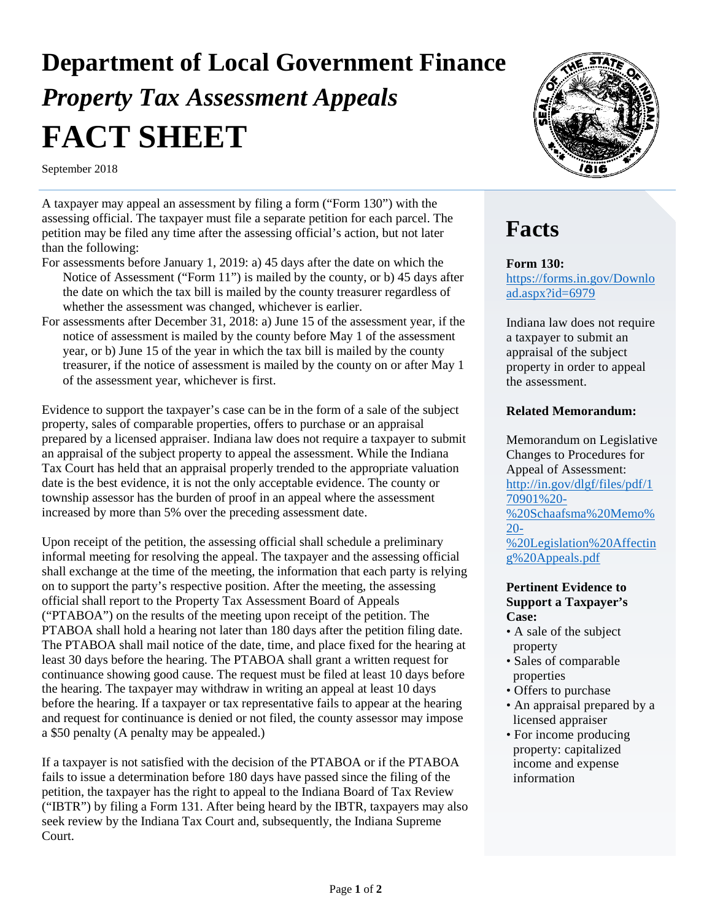# **Department of Local Government Finance**  *Property Tax Assessment Appeals* **FACT SHEET**

September 2018

A taxpayer may appeal an assessment by filing a form ("Form 130") with the assessing official. The taxpayer must file a separate petition for each parcel. The petition may be filed any time after the assessing official's action, but not later than the following:

- For assessments before January 1, 2019: a) 45 days after the date on which the Notice of Assessment ("Form 11") is mailed by the county, or b) 45 days after the date on which the tax bill is mailed by the county treasurer regardless of whether the assessment was changed, whichever is earlier.
- For assessments after December 31, 2018: a) June 15 of the assessment year, if the notice of assessment is mailed by the county before May 1 of the assessment year, or b) June 15 of the year in which the tax bill is mailed by the county treasurer, if the notice of assessment is mailed by the county on or after May 1 of the assessment year, whichever is first.

Evidence to support the taxpayer's case can be in the form of a sale of the subject property, sales of comparable properties, offers to purchase or an appraisal prepared by a licensed appraiser. Indiana law does not require a taxpayer to submit an appraisal of the subject property to appeal the assessment. While the Indiana Tax Court has held that an appraisal properly trended to the appropriate valuation date is the best evidence, it is not the only acceptable evidence. The county or township assessor has the burden of proof in an appeal where the assessment increased by more than 5% over the preceding assessment date.

Upon receipt of the petition, the assessing official shall schedule a preliminary informal meeting for resolving the appeal. The taxpayer and the assessing official shall exchange at the time of the meeting, the information that each party is relying on to support the party's respective position. After the meeting, the assessing official shall report to the Property Tax Assessment Board of Appeals ("PTABOA") on the results of the meeting upon receipt of the petition. The PTABOA shall hold a hearing not later than 180 days after the petition filing date. The PTABOA shall mail notice of the date, time, and place fixed for the hearing at least 30 days before the hearing. The PTABOA shall grant a written request for continuance showing good cause. The request must be filed at least 10 days before the hearing. The taxpayer may withdraw in writing an appeal at least 10 days before the hearing. If a taxpayer or tax representative fails to appear at the hearing and request for continuance is denied or not filed, the county assessor may impose a \$50 penalty (A penalty may be appealed.)

If a taxpayer is not satisfied with the decision of the PTABOA or if the PTABOA fails to issue a determination before 180 days have passed since the filing of the petition, the taxpayer has the right to appeal to the Indiana Board of Tax Review ("IBTR") by filing a Form 131. After being heard by the IBTR, taxpayers may also seek review by the Indiana Tax Court and, subsequently, the Indiana Supreme Court.



### **Facts**

**Form 130:** 

[https://forms.in.gov/Downlo](https://forms.in.gov/Download.aspx?id=6979) [ad.aspx?id=6979](https://forms.in.gov/Download.aspx?id=6979)

Indiana law does not require a taxpayer to submit an appraisal of the subject property in order to appeal the assessment.

#### **Related Memorandum:**

Memorandum on Legislative Changes to Procedures for Appeal of Assessment: [http://in.gov/dlgf/files/pdf/1](http://in.gov/dlgf/files/pdf/170901%20-%20Schaafsma%20Memo%20-%20Legislation%20Affecting%20Appeals.pdf) [70901%20-](http://in.gov/dlgf/files/pdf/170901%20-%20Schaafsma%20Memo%20-%20Legislation%20Affecting%20Appeals.pdf) [%20Schaafsma%20Memo%](http://in.gov/dlgf/files/pdf/170901%20-%20Schaafsma%20Memo%20-%20Legislation%20Affecting%20Appeals.pdf) [20-](http://in.gov/dlgf/files/pdf/170901%20-%20Schaafsma%20Memo%20-%20Legislation%20Affecting%20Appeals.pdf) [%20Legislation%20Affectin](http://in.gov/dlgf/files/pdf/170901%20-%20Schaafsma%20Memo%20-%20Legislation%20Affecting%20Appeals.pdf) [g%20Appeals.pdf](http://in.gov/dlgf/files/pdf/170901%20-%20Schaafsma%20Memo%20-%20Legislation%20Affecting%20Appeals.pdf)

#### **Pertinent Evidence to Support a Taxpayer's Case:**

- A sale of the subject property
- Sales of comparable properties
- Offers to purchase
- An appraisal prepared by a licensed appraiser
- For income producing property: capitalized income and expense information